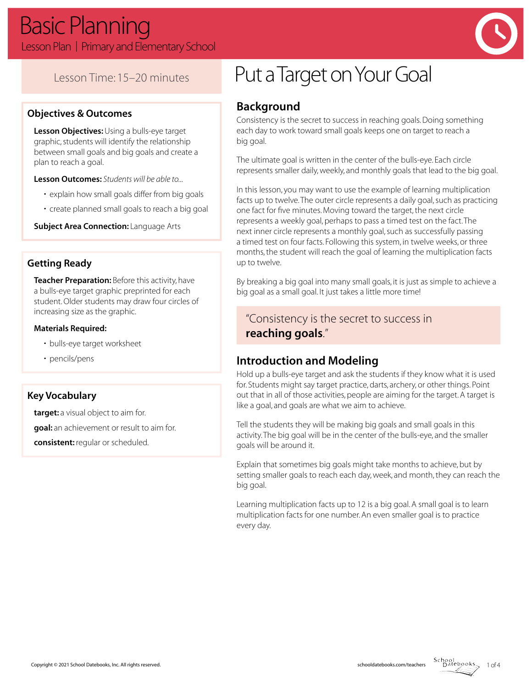

# Lesson Time: 15–20 minutes

#### **Objectives & Outcomes**

**Lesson Objectives:** Using a bulls-eye target graphic, students will identify the relationship between small goals and big goals and create a plan to reach a goal.

**Lesson Outcomes:** *Students will be able to...*

- explain how small goals differ from big goals
- create planned small goals to reach a big goal

**Subject Area Connection: Language Arts** 

#### **Getting Ready**

**Teacher Preparation:** Before this activity, have a bulls-eye target graphic preprinted for each student. Older students may draw four circles of increasing size as the graphic.

#### **Materials Required:**

- bulls-eye target worksheet
- pencils/pens

#### **Key Vocabulary**

**target:** a visual object to aim for. **goal:** an achievement or result to aim for. **consistent:** regular or scheduled.

# Put a Target on Your Goal

# **Background**

Consistency is the secret to success in reaching goals. Doing something each day to work toward small goals keeps one on target to reach a big goal.

The ultimate goal is written in the center of the bulls-eye. Each circle represents smaller daily, weekly, and monthly goals that lead to the big goal.

In this lesson, you may want to use the example of learning multiplication facts up to twelve. The outer circle represents a daily goal, such as practicing one fact for five minutes. Moving toward the target, the next circle represents a weekly goal, perhaps to pass a timed test on the fact. The next inner circle represents a monthly goal, such as successfully passing a timed test on four facts. Following this system, in twelve weeks, or three months, the student will reach the goal of learning the multiplication facts up to twelve.

By breaking a big goal into many small goals, it is just as simple to achieve a big goal as a small goal. It just takes a little more time!

# "Consistency is the secret to success in **reaching goals**."

### **Introduction and Modeling**

Hold up a bulls-eye target and ask the students if they know what it is used for. Students might say target practice, darts, archery, or other things. Point out that in all of those activities, people are aiming for the target. A target is like a goal, and goals are what we aim to achieve.

Tell the students they will be making big goals and small goals in this activity. The big goal will be in the center of the bulls-eye, and the smaller goals will be around it.

Explain that sometimes big goals might take months to achieve, but by setting smaller goals to reach each day, week, and month, they can reach the big goal.

Learning multiplication facts up to 12 is a big goal. A small goal is to learn multiplication facts for one number. An even smaller goal is to practice every day.

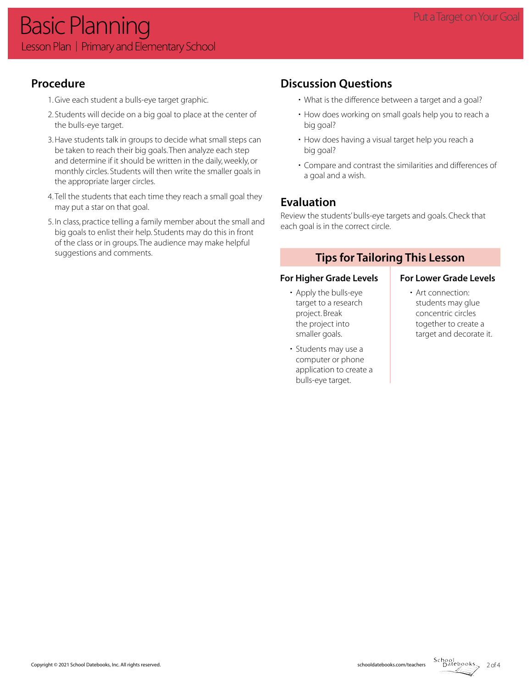# **Procedure**

- 1. Give each student a bulls-eye target graphic.
- 2. Students will decide on a big goal to place at the center of the bulls-eye target.
- 3. Have students talk in groups to decide what small steps can be taken to reach their big goals. Then analyze each step and determine if it should be written in the daily, weekly, or monthly circles. Students will then write the smaller goals in the appropriate larger circles.
- 4. Tell the students that each time they reach a small goal they may put a star on that goal.
- 5. In class, practice telling a family member about the small and big goals to enlist their help. Students may do this in front of the class or in groups. The audience may make helpful suggestions and comments.

# **Discussion Questions**

- What is the difference between a target and a goal?
- How does working on small goals help you to reach a big goal?
- How does having a visual target help you reach a big goal?
- Compare and contrast the similarities and differences of a goal and a wish.

# **Evaluation**

Review the students' bulls-eye targets and goals. Check that each goal is in the correct circle.

# **Tips for Tailoring This Lesson**

#### For Higher Grade Levels **For Lower Grade Levels**

- Apply the bulls-eye target to a research project. Break the project into smaller goals.
- Students may use a computer or phone application to create a bulls-eye target.

• Art connection: students may glue concentric circles together to create a target and decorate it.

 $2$  of 4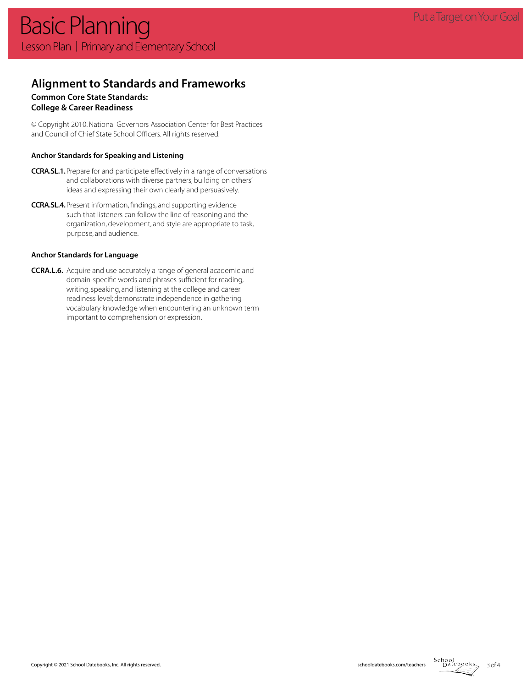#### **Alignment to Standards and Frameworks**

### **Common Core State Standards:**

#### **College & Career Readiness**

© Copyright 2010. National Governors Association Center for Best Practices and Council of Chief State School Officers. All rights reserved.

#### **Anchor Standards for Speaking and Listening**

- **CCRA.SL.1.**Prepare for and participate effectively in a range of conversations and collaborations with diverse partners, building on others' ideas and expressing their own clearly and persuasively.
- **CCRA.SL.4.**Present information, findings, and supporting evidence such that listeners can follow the line of reasoning and the organization, development, and style are appropriate to task, purpose, and audience.

#### **Anchor Standards for Language**

**CCRA.L.6.** Acquire and use accurately a range of general academic and domain-specific words and phrases sufficient for reading, writing, speaking, and listening at the college and career readiness level; demonstrate independence in gathering vocabulary knowledge when encountering an unknown term important to comprehension or expression.